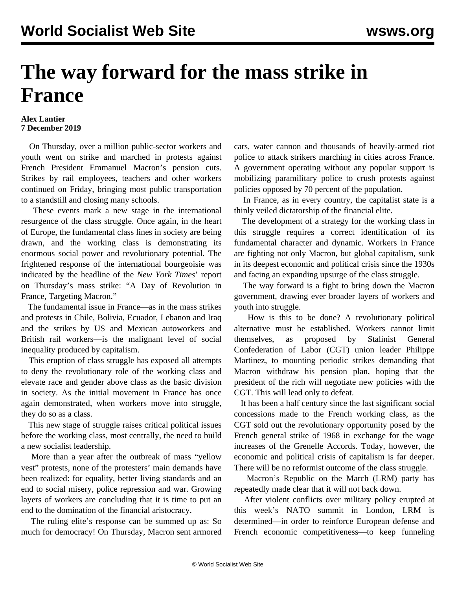## **The way forward for the mass strike in France**

## **Alex Lantier 7 December 2019**

 On Thursday, over a million public-sector workers and youth went on strike and marched in protests against French President Emmanuel Macron's pension cuts. Strikes by rail employees, teachers and other workers continued on Friday, bringing most public transportation to a standstill and closing many schools.

 These events mark a new stage in the international resurgence of the class struggle. Once again, in the heart of Europe, the fundamental class lines in society are being drawn, and the working class is demonstrating its enormous social power and revolutionary potential. The frightened response of the international bourgeoisie was indicated by the headline of the *New York Times*' report on Thursday's mass strike: "A Day of Revolution in France, Targeting Macron."

 The fundamental issue in France—as in the mass strikes and protests in Chile, Bolivia, Ecuador, Lebanon and Iraq and the strikes by US and Mexican autoworkers and British rail workers—is the malignant level of social inequality produced by capitalism.

 This eruption of class struggle has exposed all attempts to deny the revolutionary role of the working class and elevate race and gender above class as the basic division in society. As the initial movement in France has once again demonstrated, when workers move into struggle, they do so as a class.

 This new stage of struggle raises critical political issues before the working class, most centrally, the need to build a new socialist leadership.

 More than a year after the outbreak of mass "yellow vest" protests, none of the protesters' main demands have been realized: for equality, better living standards and an end to social misery, police repression and war. Growing layers of workers are concluding that it is time to put an end to the domination of the financial aristocracy.

 The ruling elite's response can be summed up as: So much for democracy! On Thursday, Macron sent armored cars, water cannon and thousands of heavily-armed riot police to attack strikers marching in cities across France. A government operating without any popular support is mobilizing paramilitary police to crush protests against policies opposed by 70 percent of the population.

 In France, as in every country, the capitalist state is a thinly veiled dictatorship of the financial elite.

 The development of a strategy for the working class in this struggle requires a correct identification of its fundamental character and dynamic. Workers in France are fighting not only Macron, but global capitalism, sunk in its deepest economic and political crisis since the 1930s and facing an expanding upsurge of the class struggle.

 The way forward is a fight to bring down the Macron government, drawing ever broader layers of workers and youth into struggle.

 How is this to be done? A revolutionary political alternative must be established. Workers cannot limit themselves, as proposed by Stalinist General Confederation of Labor (CGT) union leader Philippe Martinez, to mounting periodic strikes demanding that Macron withdraw his pension plan, hoping that the president of the rich will negotiate new policies with the CGT. This will lead only to defeat.

 It has been a half century since the last significant social concessions made to the French working class, as the CGT sold out the revolutionary opportunity posed by the French general strike of 1968 in exchange for the wage increases of the Grenelle Accords. Today, however, the economic and political crisis of capitalism is far deeper. There will be no reformist outcome of the class struggle.

 Macron's Republic on the March (LRM) party has repeatedly made clear that it will not back down.

 After violent conflicts over military policy erupted at this week's NATO summit in London, LRM is determined—in order to reinforce European defense and French economic competitiveness—to keep funneling